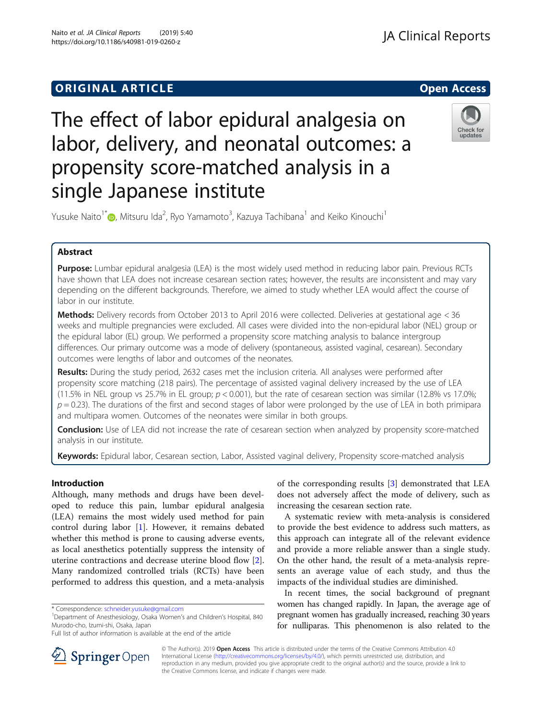Naito et al. JA Clinical Reports (2019) 5:40 https://doi.org/10.1186/s40981-019-0260-z

# The effect of labor epidural analgesia on labor, delivery, and neonatal outcomes: a propensity score-matched analysis in a single Japanese institute



Yusuke Naito<sup>1\*</sup>®[,](http://orcid.org/0000-0002-1423-812X) Mitsuru Ida<sup>2</sup>, Ryo Yamamoto<sup>3</sup>, Kazuya Tachibana<sup>1</sup> and Keiko Kinouchi<sup>1</sup>

# Abstract

Purpose: Lumbar epidural analgesia (LEA) is the most widely used method in reducing labor pain. Previous RCTs have shown that LEA does not increase cesarean section rates; however, the results are inconsistent and may vary depending on the different backgrounds. Therefore, we aimed to study whether LEA would affect the course of labor in our institute.

Methods: Delivery records from October 2013 to April 2016 were collected. Deliveries at gestational age < 36 weeks and multiple pregnancies were excluded. All cases were divided into the non-epidural labor (NEL) group or the epidural labor (EL) group. We performed a propensity score matching analysis to balance intergroup differences. Our primary outcome was a mode of delivery (spontaneous, assisted vaginal, cesarean). Secondary outcomes were lengths of labor and outcomes of the neonates.

Results: During the study period, 2632 cases met the inclusion criteria. All analyses were performed after propensity score matching (218 pairs). The percentage of assisted vaginal delivery increased by the use of LEA (11.5% in NEL group vs 25.7% in EL group;  $p < 0.001$ ), but the rate of cesarean section was similar (12.8% vs 17.0%;  $p = 0.23$ ). The durations of the first and second stages of labor were prolonged by the use of LEA in both primipara and multipara women. Outcomes of the neonates were similar in both groups.

**Conclusion:** Use of LEA did not increase the rate of cesarean section when analyzed by propensity score-matched analysis in our institute.

Keywords: Epidural labor, Cesarean section, Labor, Assisted vaginal delivery, Propensity score-matched analysis

# Introduction

Although, many methods and drugs have been developed to reduce this pain, lumbar epidural analgesia (LEA) remains the most widely used method for pain control during labor [\[1](#page-5-0)]. However, it remains debated whether this method is prone to causing adverse events, as local anesthetics potentially suppress the intensity of uterine contractions and decrease uterine blood flow [\[2](#page-5-0)]. Many randomized controlled trials (RCTs) have been performed to address this question, and a meta-analysis

of the corresponding results [\[3\]](#page-5-0) demonstrated that LEA does not adversely affect the mode of delivery, such as increasing the cesarean section rate.

A systematic review with meta-analysis is considered to provide the best evidence to address such matters, as this approach can integrate all of the relevant evidence and provide a more reliable answer than a single study. On the other hand, the result of a meta-analysis represents an average value of each study, and thus the impacts of the individual studies are diminished.

In recent times, the social background of pregnant women has changed rapidly. In Japan, the average age of pregnant women has gradually increased, reaching 30 years for nulliparas. This phenomenon is also related to the



© The Author(s). 2019 Open Access This article is distributed under the terms of the Creative Commons Attribution 4.0 International License ([http://creativecommons.org/licenses/by/4.0/\)](http://creativecommons.org/licenses/by/4.0/), which permits unrestricted use, distribution, and reproduction in any medium, provided you give appropriate credit to the original author(s) and the source, provide a link to the Creative Commons license, and indicate if changes were made.

<sup>\*</sup> Correspondence: [schneider.yusuke@gmail.com](mailto:schneider.yusuke@gmail.com) <sup>1</sup>

<sup>&</sup>lt;sup>1</sup>Department of Anesthesiology, Osaka Women's and Children's Hospital, 840 Murodo-cho, Izumi-shi, Osaka, Japan

Full list of author information is available at the end of the article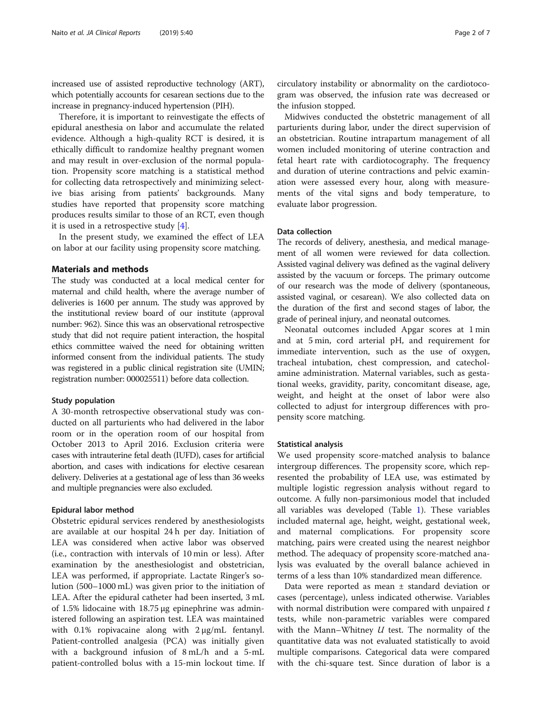increased use of assisted reproductive technology (ART), which potentially accounts for cesarean sections due to the increase in pregnancy-induced hypertension (PIH).

Therefore, it is important to reinvestigate the effects of epidural anesthesia on labor and accumulate the related evidence. Although a high-quality RCT is desired, it is ethically difficult to randomize healthy pregnant women and may result in over-exclusion of the normal population. Propensity score matching is a statistical method for collecting data retrospectively and minimizing selective bias arising from patients' backgrounds. Many studies have reported that propensity score matching produces results similar to those of an RCT, even though it is used in a retrospective study [\[4\]](#page-6-0).

In the present study, we examined the effect of LEA on labor at our facility using propensity score matching.

# Materials and methods

The study was conducted at a local medical center for maternal and child health, where the average number of deliveries is 1600 per annum. The study was approved by the institutional review board of our institute (approval number: 962). Since this was an observational retrospective study that did not require patient interaction, the hospital ethics committee waived the need for obtaining written informed consent from the individual patients. The study was registered in a public clinical registration site (UMIN; registration number: 000025511) before data collection.

### Study population

A 30-month retrospective observational study was conducted on all parturients who had delivered in the labor room or in the operation room of our hospital from October 2013 to April 2016. Exclusion criteria were cases with intrauterine fetal death (IUFD), cases for artificial abortion, and cases with indications for elective cesarean delivery. Deliveries at a gestational age of less than 36 weeks and multiple pregnancies were also excluded.

#### Epidural labor method

Obstetric epidural services rendered by anesthesiologists are available at our hospital 24 h per day. Initiation of LEA was considered when active labor was observed (i.e., contraction with intervals of 10 min or less). After examination by the anesthesiologist and obstetrician, LEA was performed, if appropriate. Lactate Ringer's solution (500–1000 mL) was given prior to the initiation of LEA. After the epidural catheter had been inserted, 3 mL of 1.5% lidocaine with 18.75 μg epinephrine was administered following an aspiration test. LEA was maintained with 0.1% ropivacaine along with 2 μg/mL fentanyl. Patient-controlled analgesia (PCA) was initially given with a background infusion of 8 mL/h and a 5-mL patient-controlled bolus with a 15-min lockout time. If

circulatory instability or abnormality on the cardiotocogram was observed, the infusion rate was decreased or the infusion stopped.

Midwives conducted the obstetric management of all parturients during labor, under the direct supervision of an obstetrician. Routine intrapartum management of all women included monitoring of uterine contraction and fetal heart rate with cardiotocography. The frequency and duration of uterine contractions and pelvic examination were assessed every hour, along with measurements of the vital signs and body temperature, to evaluate labor progression.

# Data collection

The records of delivery, anesthesia, and medical management of all women were reviewed for data collection. Assisted vaginal delivery was defined as the vaginal delivery assisted by the vacuum or forceps. The primary outcome of our research was the mode of delivery (spontaneous, assisted vaginal, or cesarean). We also collected data on the duration of the first and second stages of labor, the grade of perineal injury, and neonatal outcomes.

Neonatal outcomes included Apgar scores at 1 min and at 5 min, cord arterial pH, and requirement for immediate intervention, such as the use of oxygen, tracheal intubation, chest compression, and catecholamine administration. Maternal variables, such as gestational weeks, gravidity, parity, concomitant disease, age, weight, and height at the onset of labor were also collected to adjust for intergroup differences with propensity score matching.

### Statistical analysis

We used propensity score-matched analysis to balance intergroup differences. The propensity score, which represented the probability of LEA use, was estimated by multiple logistic regression analysis without regard to outcome. A fully non-parsimonious model that included all variables was developed (Table [1\)](#page-2-0). These variables included maternal age, height, weight, gestational week, and maternal complications. For propensity score matching, pairs were created using the nearest neighbor method. The adequacy of propensity score-matched analysis was evaluated by the overall balance achieved in terms of a less than 10% standardized mean difference.

Data were reported as mean ± standard deviation or cases (percentage), unless indicated otherwise. Variables with normal distribution were compared with unpaired  $t$ tests, while non-parametric variables were compared with the Mann–Whitney  $U$  test. The normality of the quantitative data was not evaluated statistically to avoid multiple comparisons. Categorical data were compared with the chi-square test. Since duration of labor is a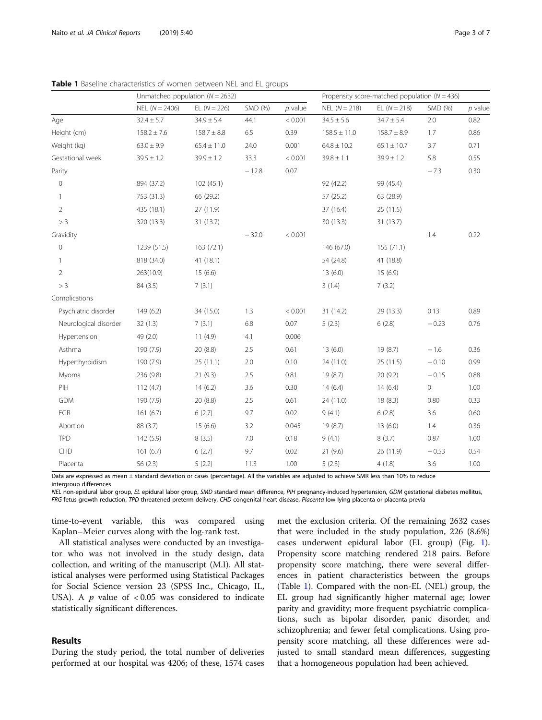|                       | Unmatched population ( $N = 2632$ ) |                 |         | Propensity score-matched population ( $N = 436$ ) |                  |                 |         |           |
|-----------------------|-------------------------------------|-----------------|---------|---------------------------------------------------|------------------|-----------------|---------|-----------|
|                       | $NEL (N = 2406)$                    | EL $(N = 226)$  | SMD (%) | $p$ value                                         | $NEL (N = 218)$  | $EL(N = 218)$   | SMD (%) | $p$ value |
| Age                   | $32.4 \pm 5.7$                      | $34.9 \pm 5.4$  | 44.1    | < 0.001                                           | $34.5 \pm 5.6$   | $34.7 \pm 5.4$  | 2.0     | 0.82      |
| Height (cm)           | $158.2 \pm 7.6$                     | $158.7 \pm 8.8$ | 6.5     | 0.39                                              | $158.5 \pm 11.0$ | $158.7 \pm 8.9$ | 1.7     | 0.86      |
| Weight (kg)           | $63.0 \pm 9.9$                      | $65.4 \pm 11.0$ | 24.0    | 0.001                                             | $64.8 \pm 10.2$  | $65.1 \pm 10.7$ | 3.7     | 0.71      |
| Gestational week      | $39.5 \pm 1.2$                      | $39.9 \pm 1.2$  | 33.3    | < 0.001                                           | $39.8 \pm 1.1$   | $39.9 \pm 1.2$  | 5.8     | 0.55      |
| Parity                |                                     |                 | $-12.8$ | 0.07                                              |                  |                 | $-7.3$  | 0.30      |
| $\overline{0}$        | 894 (37.2)                          | 102 (45.1)      |         |                                                   | 92 (42.2)        | 99 (45.4)       |         |           |
| -1                    | 753 (31.3)                          | 66 (29.2)       |         |                                                   | 57 (25.2)        | 63 (28.9)       |         |           |
| $\overline{2}$        | 435 (18.1)                          | 27 (11.9)       |         |                                                   | 37 (16.4)        | 25(11.5)        |         |           |
| > 3                   | 320 (13.3)                          | 31 (13.7)       |         |                                                   | 30 (13.3)        | 31(13.7)        |         |           |
| Gravidity             |                                     |                 | $-32.0$ | < 0.001                                           |                  |                 | 1.4     | 0.22      |
| 0                     | 1239 (51.5)                         | 163 (72.1)      |         |                                                   | 146 (67.0)       | 155(71.1)       |         |           |
| 1                     | 818 (34.0)                          | 41 (18.1)       |         |                                                   | 54 (24.8)        | 41 (18.8)       |         |           |
| $\overline{2}$        | 263(10.9)                           | 15(6.6)         |         |                                                   | 13(6.0)          | 15(6.9)         |         |           |
| > 3                   | 84 (3.5)                            | 7(3.1)          |         |                                                   | 3(1.4)           | 7(3.2)          |         |           |
| Complications         |                                     |                 |         |                                                   |                  |                 |         |           |
| Psychiatric disorder  | 149(6.2)                            | 34 (15.0)       | 1.3     | < 0.001                                           | 31 (14.2)        | 29 (13.3)       | 0.13    | 0.89      |
| Neurological disorder | 32(1.3)                             | 7(3.1)          | 6.8     | 0.07                                              | 5(2.3)           | 6(2.8)          | $-0.23$ | 0.76      |
| Hypertension          | 49 (2.0)                            | 11(4.9)         | 4.1     | 0.006                                             |                  |                 |         |           |
| Asthma                | 190 (7.9)                           | 20 (8.8)        | 2.5     | 0.61                                              | 13(6.0)          | 19(8.7)         | $-1.6$  | 0.36      |
| Hyperthyroidism       | 190 (7.9)                           | 25(11.1)        | 2.0     | 0.10                                              | 24 (11.0)        | 25 (11.5)       | $-0.10$ | 0.99      |
| Myoma                 | 236 (9.8)                           | 21(9.3)         | 2.5     | 0.81                                              | 19(8.7)          | 20(9.2)         | $-0.15$ | 0.88      |
| PIH                   | 112(4.7)                            | 14(6.2)         | 3.6     | 0.30                                              | 14(6.4)          | 14(6.4)         | 0       | 1.00      |
| <b>GDM</b>            | 190 (7.9)                           | 20 (8.8)        | 2.5     | 0.61                                              | 24 (11.0)        | 18(8.3)         | 0.80    | 0.33      |
| FGR                   | 161(6.7)                            | 6(2.7)          | 9.7     | 0.02                                              | 9(4.1)           | 6(2.8)          | 3.6     | 0.60      |
| Abortion              | 88 (3.7)                            | 15(6.6)         | 3.2     | 0.045                                             | 19(8.7)          | 13(6.0)         | 1.4     | 0.36      |
| <b>TPD</b>            | 142 (5.9)                           | 8(3.5)          | 7.0     | 0.18                                              | 9(4.1)           | 8(3.7)          | 0.87    | 1.00      |
| CHD                   | 161(6.7)                            | 6(2.7)          | 9.7     | 0.02                                              | 21(9.6)          | 26 (11.9)       | $-0.53$ | 0.54      |
| Placenta              | 56 (2.3)                            | 5(2.2)          | 11.3    | 1.00                                              | 5(2.3)           | 4(1.8)          | 3.6     | 1.00      |

<span id="page-2-0"></span>Table 1 Baseline characteristics of women between NEL and EL groups

Data are expressed as mean ± standard deviation or cases (percentage). All the variables are adjusted to achieve SMR less than 10% to reduce intergroup differences

NEL non-epidural labor group, EL epidural labor group, SMD standard mean difference, PIH pregnancy-induced hypertension, GDM gestational diabetes mellitus, FRG fetus growth reduction, TPD threatened preterm delivery, CHD congenital heart disease, Placenta low lying placenta or placenta previa

time-to-event variable, this was compared using Kaplan–Meier curves along with the log-rank test.

All statistical analyses were conducted by an investigator who was not involved in the study design, data collection, and writing of the manuscript (M.I). All statistical analyses were performed using Statistical Packages for Social Science version 23 (SPSS Inc., Chicago, IL, USA). A  $p$  value of <0.05 was considered to indicate statistically significant differences.

# Results

During the study period, the total number of deliveries performed at our hospital was 4206; of these, 1574 cases

met the exclusion criteria. Of the remaining 2632 cases that were included in the study population, 226 (8.6%) cases underwent epidural labor (EL group) (Fig. [1](#page-3-0)). Propensity score matching rendered 218 pairs. Before propensity score matching, there were several differences in patient characteristics between the groups (Table 1). Compared with the non-EL (NEL) group, the EL group had significantly higher maternal age; lower parity and gravidity; more frequent psychiatric complications, such as bipolar disorder, panic disorder, and schizophrenia; and fewer fetal complications. Using propensity score matching, all these differences were adjusted to small standard mean differences, suggesting that a homogeneous population had been achieved.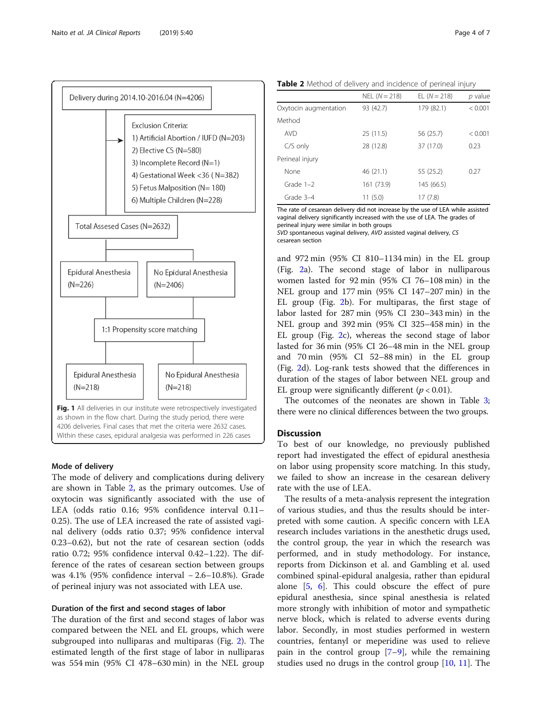

<span id="page-3-0"></span>

# Mode of delivery

The mode of delivery and complications during delivery are shown in Table 2, as the primary outcomes. Use of oxytocin was significantly associated with the use of LEA (odds ratio 0.16; 95% confidence interval 0.11– 0.25). The use of LEA increased the rate of assisted vaginal delivery (odds ratio 0.37; 95% confidence interval 0.23–0.62), but not the rate of cesarean section (odds ratio 0.72; 95% confidence interval 0.42–1.22). The difference of the rates of cesarean section between groups was 4.1% (95% confidence interval − 2.6–10.8%). Grade of perineal injury was not associated with LEA use.

# Duration of the first and second stages of labor

The duration of the first and second stages of labor was compared between the NEL and EL groups, which were subgrouped into nulliparas and multiparas (Fig. [2](#page-4-0)). The estimated length of the first stage of labor in nulliparas was 554 min (95% CI 478–630 min) in the NEL group

Table 2 Method of delivery and incidence of perineal injury

|                       | $NEL (N = 218)$ | EL $(N = 218)$ | $p$ value |
|-----------------------|-----------------|----------------|-----------|
| Oxytocin augmentation | 93 (42.7)       | 179 (82.1)     | < 0.001   |
| Method                |                 |                |           |
| <b>AVD</b>            | 25(11.5)        | 56 (25.7)      | < 0.001   |
| $C/S$ only            | 28 (12.8)       | 37 (17.0)      | 0.23      |
| Perineal injury       |                 |                |           |
| None                  | 46(21.1)        | 55 (25.2)      | 0.27      |
| Grade $1-2$           | 161 (73.9)      | 145 (66.5)     |           |
| Grade 3-4             | 11(5.0)         | 17(7.8)        |           |

The rate of cesarean delivery did not increase by the use of LEA while assisted vaginal delivery significantly increased with the use of LEA. The grades of perineal injury were similar in both groups

SVD spontaneous vaginal delivery, AVD assisted vaginal delivery, CS cesarean section

and 972 min (95% CI 810–1134 min) in the EL group (Fig. [2](#page-4-0)a). The second stage of labor in nulliparous women lasted for 92 min (95% CI 76–108 min) in the NEL group and 177 min (95% CI 147–207 min) in the EL group (Fig. [2b](#page-4-0)). For multiparas, the first stage of labor lasted for 287 min (95% CI 230–343 min) in the NEL group and 392 min (95% CI 325–458 min) in the EL group (Fig. [2c](#page-4-0)), whereas the second stage of labor lasted for 36 min (95% CI 26–48 min in the NEL group and 70 min (95% CI 52–88 min) in the EL group (Fig. [2](#page-4-0)d). Log-rank tests showed that the differences in duration of the stages of labor between NEL group and EL group were significantly different ( $p < 0.01$ ).

The outcomes of the neonates are shown in Table [3](#page-4-0); there were no clinical differences between the two groups.

# **Discussion**

To best of our knowledge, no previously published report had investigated the effect of epidural anesthesia on labor using propensity score matching. In this study, we failed to show an increase in the cesarean delivery rate with the use of LEA.

The results of a meta-analysis represent the integration of various studies, and thus the results should be interpreted with some caution. A specific concern with LEA research includes variations in the anesthetic drugs used, the control group, the year in which the research was performed, and in study methodology. For instance, reports from Dickinson et al. and Gambling et al. used combined spinal-epidural analgesia, rather than epidural alone [\[5](#page-6-0), [6\]](#page-6-0). This could obscure the effect of pure epidural anesthesia, since spinal anesthesia is related more strongly with inhibition of motor and sympathetic nerve block, which is related to adverse events during labor. Secondly, in most studies performed in western countries, fentanyl or meperidine was used to relieve pain in the control group  $[7-9]$  $[7-9]$  $[7-9]$  $[7-9]$ , while the remaining studies used no drugs in the control group [[10,](#page-6-0) [11\]](#page-6-0). The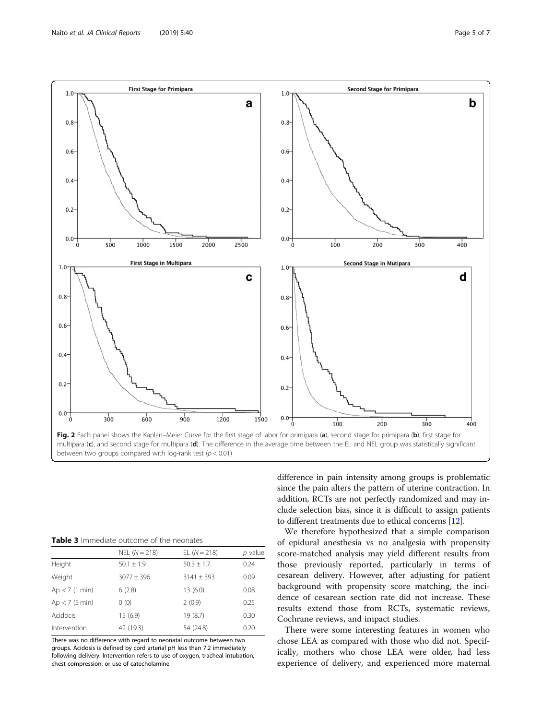<span id="page-4-0"></span>

| <b>Table 3</b> Immediate outcome of the neonates |  |
|--------------------------------------------------|--|
|--------------------------------------------------|--|

|                  | $NEL (N = 218)$ | EL $(N = 218)$ | $p$ value |
|------------------|-----------------|----------------|-----------|
| Height           | $50.1 \pm 1.9$  | $50.3 \pm 1.7$ | 0.24      |
| Weight           | $3077 \pm 396$  | $3141 \pm 393$ | 0.09      |
| $Ap < 7$ (1 min) | 6(2.8)          | 13(6.0)        | 0.08      |
| $Ap < 7$ (5 min) | 0(0)            | 2(0.9)         | 0.25      |
| Acidocis         | 15(6.9)         | 19 (8.7)       | 0.30      |
| Intervention     | 42 (19.3)       | 54 (24.8)      | 0.20      |

There was no difference with regard to neonatal outcome between two groups. Acidosis is defined by cord arterial pH less than 7.2 immediately following delivery. Intervention refers to use of oxygen, tracheal intubation, chest compression, or use of catecholamine

difference in pain intensity among groups is problematic since the pain alters the pattern of uterine contraction. In addition, RCTs are not perfectly randomized and may include selection bias, since it is difficult to assign patients to different treatments due to ethical concerns [\[12\]](#page-6-0).

We therefore hypothesized that a simple comparison of epidural anesthesia vs no analgesia with propensity score-matched analysis may yield different results from those previously reported, particularly in terms of cesarean delivery. However, after adjusting for patient background with propensity score matching, the incidence of cesarean section rate did not increase. These results extend those from RCTs, systematic reviews, Cochrane reviews, and impact studies.

There were some interesting features in women who chose LEA as compared with those who did not. Specifically, mothers who chose LEA were older, had less experience of delivery, and experienced more maternal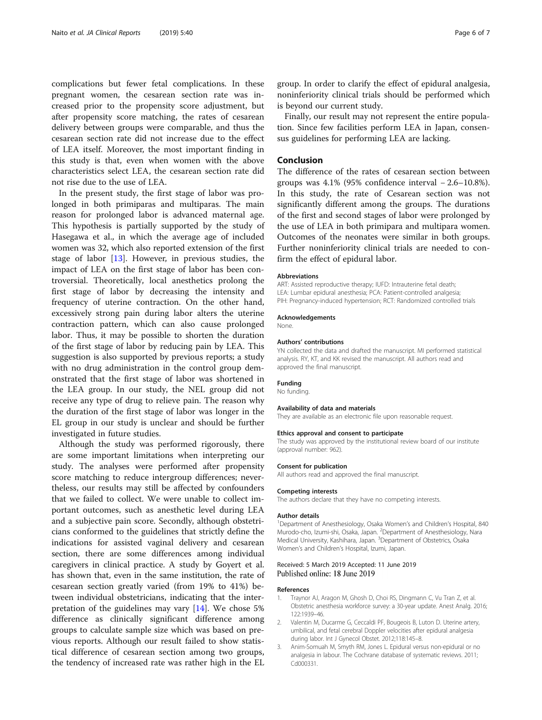<span id="page-5-0"></span>complications but fewer fetal complications. In these pregnant women, the cesarean section rate was increased prior to the propensity score adjustment, but after propensity score matching, the rates of cesarean delivery between groups were comparable, and thus the cesarean section rate did not increase due to the effect of LEA itself. Moreover, the most important finding in this study is that, even when women with the above characteristics select LEA, the cesarean section rate did not rise due to the use of LEA.

In the present study, the first stage of labor was prolonged in both primiparas and multiparas. The main reason for prolonged labor is advanced maternal age. This hypothesis is partially supported by the study of Hasegawa et al., in which the average age of included women was 32, which also reported extension of the first stage of labor [[13\]](#page-6-0). However, in previous studies, the impact of LEA on the first stage of labor has been controversial. Theoretically, local anesthetics prolong the first stage of labor by decreasing the intensity and frequency of uterine contraction. On the other hand, excessively strong pain during labor alters the uterine contraction pattern, which can also cause prolonged labor. Thus, it may be possible to shorten the duration of the first stage of labor by reducing pain by LEA. This suggestion is also supported by previous reports; a study with no drug administration in the control group demonstrated that the first stage of labor was shortened in the LEA group. In our study, the NEL group did not receive any type of drug to relieve pain. The reason why the duration of the first stage of labor was longer in the EL group in our study is unclear and should be further investigated in future studies.

Although the study was performed rigorously, there are some important limitations when interpreting our study. The analyses were performed after propensity score matching to reduce intergroup differences; nevertheless, our results may still be affected by confounders that we failed to collect. We were unable to collect important outcomes, such as anesthetic level during LEA and a subjective pain score. Secondly, although obstetricians conformed to the guidelines that strictly define the indications for assisted vaginal delivery and cesarean section, there are some differences among individual caregivers in clinical practice. A study by Goyert et al. has shown that, even in the same institution, the rate of cesarean section greatly varied (from 19% to 41%) between individual obstetricians, indicating that the interpretation of the guidelines may vary [\[14\]](#page-6-0). We chose 5% difference as clinically significant difference among groups to calculate sample size which was based on previous reports. Although our result failed to show statistical difference of cesarean section among two groups, the tendency of increased rate was rather high in the EL

group. In order to clarify the effect of epidural analgesia, noninferiority clinical trials should be performed which is beyond our current study.

Finally, our result may not represent the entire population. Since few facilities perform LEA in Japan, consensus guidelines for performing LEA are lacking.

# Conclusion

The difference of the rates of cesarean section between groups was 4.1% (95% confidence interval − 2.6–10.8%). In this study, the rate of Cesarean section was not significantly different among the groups. The durations of the first and second stages of labor were prolonged by the use of LEA in both primipara and multipara women. Outcomes of the neonates were similar in both groups. Further noninferiority clinical trials are needed to confirm the effect of epidural labor.

#### **Abbreviations**

ART: Assisted reproductive therapy; IUFD: Intrauterine fetal death; LEA: Lumbar epidural anesthesia; PCA: Patient-controlled analgesia; PIH: Pregnancy-induced hypertension; RCT: Randomized controlled trials

#### Acknowledgements

None.

#### Authors' contributions

YN collected the data and drafted the manuscript. MI performed statistical analysis. RY, KT, and KK revised the manuscript. All authors read and approved the final manuscript.

#### Funding

No funding.

#### Availability of data and materials

They are available as an electronic file upon reasonable request.

#### Ethics approval and consent to participate

The study was approved by the institutional review board of our institute (approval number: 962).

#### Consent for publication

All authors read and approved the final manuscript.

#### Competing interests

The authors declare that they have no competing interests.

#### Author details

<sup>1</sup>Department of Anesthesiology, Osaka Women's and Children's Hospital, 840 Murodo-cho, Izumi-shi, Osaka, Japan. <sup>2</sup>Department of Anesthesiology, Nara Medical University, Kashihara, Japan. <sup>3</sup>Department of Obstetrics, Osaka Women's and Children's Hospital, Izumi, Japan.

# Received: 5 March 2019 Accepted: 11 June 2019 Published online: 18 June 2019

#### References

- 1. Traynor AJ, Aragon M, Ghosh D, Choi RS, Dingmann C, Vu Tran Z, et al. Obstetric anesthesia workforce survey: a 30-year update. Anest Analg. 2016; 122:1939–46.
- 2. Valentin M, Ducarme G, Ceccaldi PF, Bougeois B, Luton D. Uterine artery, umbilical, and fetal cerebral Doppler velocities after epidural analgesia during labor. Int J Gynecol Obstet. 2012;118:145–8.
- 3. Anim-Somuah M, Smyth RM, Jones L. Epidural versus non-epidural or no analgesia in labour. The Cochrane database of systematic reviews. 2011; Cd000331.